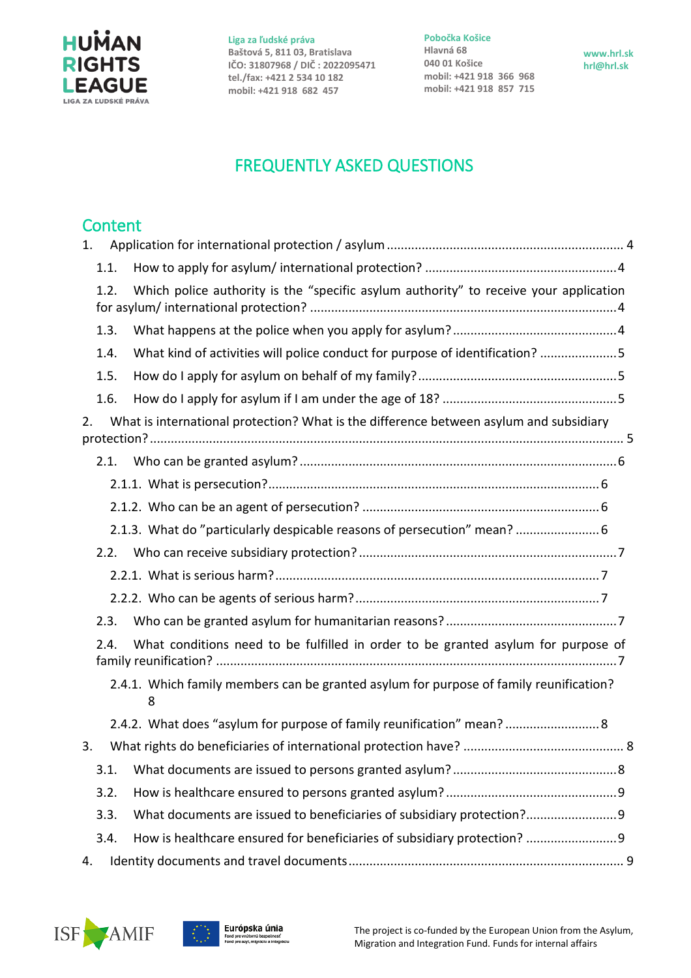

**Pobočka Košice Hlavná 68 040 01 Košice mobil: +421 918 366 968 mobil: +421 918 857 715**

**www.hrl.sk hrl@hrl.sk**

# FREQUENTLY ASKED QUESTIONS

# **Content**

| 1. |      |                                                                                             |  |
|----|------|---------------------------------------------------------------------------------------------|--|
|    | 1.1. |                                                                                             |  |
|    | 1.2. | Which police authority is the "specific asylum authority" to receive your application       |  |
|    | 1.3. |                                                                                             |  |
|    | 1.4. | What kind of activities will police conduct for purpose of identification? 5                |  |
|    | 1.5. |                                                                                             |  |
|    | 1.6. |                                                                                             |  |
| 2. |      | What is international protection? What is the difference between asylum and subsidiary      |  |
|    | 2.1. |                                                                                             |  |
|    |      |                                                                                             |  |
|    |      |                                                                                             |  |
|    |      | 2.1.3. What do "particularly despicable reasons of persecution" mean?  6                    |  |
|    | 2.2. |                                                                                             |  |
|    |      |                                                                                             |  |
|    |      |                                                                                             |  |
|    | 2.3. |                                                                                             |  |
|    | 2.4. | What conditions need to be fulfilled in order to be granted asylum for purpose of           |  |
|    |      | 2.4.1. Which family members can be granted asylum for purpose of family reunification?<br>8 |  |
|    |      | 2.4.2. What does "asylum for purpose of family reunification" mean? 8                       |  |
| 3. |      |                                                                                             |  |
|    | 3.1. |                                                                                             |  |
|    | 3.2. |                                                                                             |  |
|    | 3.3. | What documents are issued to beneficiaries of subsidiary protection?                        |  |
|    | 3.4. | How is healthcare ensured for beneficiaries of subsidiary protection?                       |  |
| 4. |      |                                                                                             |  |



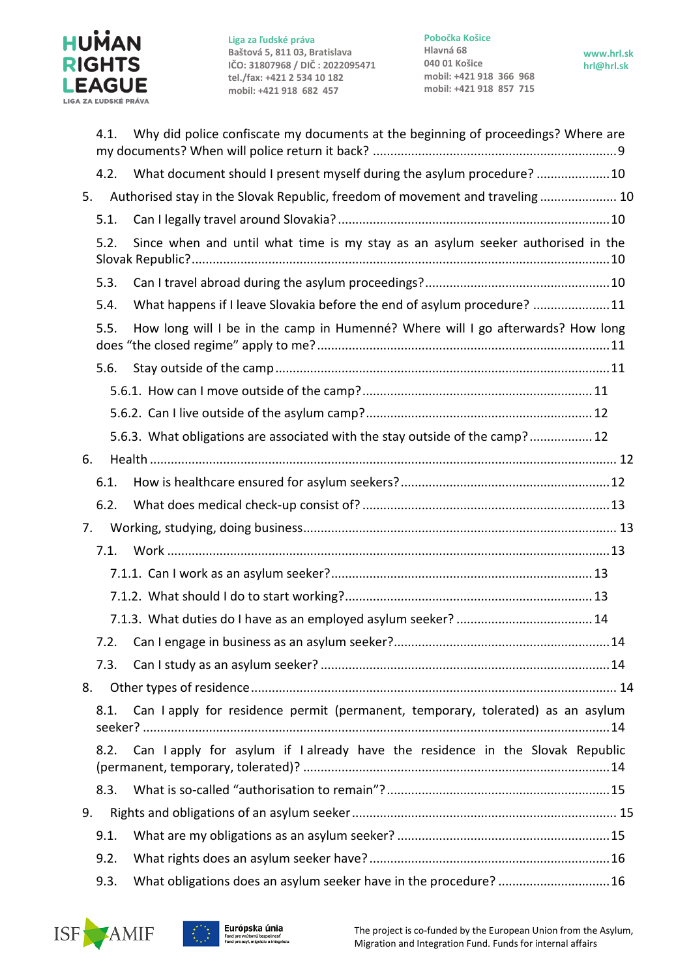

**Pobočka Košice Hlavná 68 040 01 Košice mobil: +421 918 366 968 mobil: +421 918 857 715**

|    | 4.1.                                                                                    | Why did police confiscate my documents at the beginning of proceedings? Where are |  |  |  |
|----|-----------------------------------------------------------------------------------------|-----------------------------------------------------------------------------------|--|--|--|
|    | 4.2.                                                                                    | What document should I present myself during the asylum procedure?  10            |  |  |  |
| 5. |                                                                                         | Authorised stay in the Slovak Republic, freedom of movement and traveling 10      |  |  |  |
|    | 5.1.                                                                                    |                                                                                   |  |  |  |
|    | 5.2.                                                                                    | Since when and until what time is my stay as an asylum seeker authorised in the   |  |  |  |
|    | 5.3.                                                                                    |                                                                                   |  |  |  |
|    | 5.4.                                                                                    | What happens if I leave Slovakia before the end of asylum procedure? 11           |  |  |  |
|    | 5.5.                                                                                    | How long will I be in the camp in Humenné? Where will I go afterwards? How long   |  |  |  |
|    | 5.6.                                                                                    |                                                                                   |  |  |  |
|    |                                                                                         |                                                                                   |  |  |  |
|    |                                                                                         |                                                                                   |  |  |  |
|    |                                                                                         | 5.6.3. What obligations are associated with the stay outside of the camp? 12      |  |  |  |
| 6. |                                                                                         |                                                                                   |  |  |  |
|    | 6.1.                                                                                    |                                                                                   |  |  |  |
|    | 6.2.                                                                                    |                                                                                   |  |  |  |
| 7. |                                                                                         |                                                                                   |  |  |  |
|    | 7.1.                                                                                    |                                                                                   |  |  |  |
|    |                                                                                         |                                                                                   |  |  |  |
|    |                                                                                         |                                                                                   |  |  |  |
|    |                                                                                         |                                                                                   |  |  |  |
|    |                                                                                         |                                                                                   |  |  |  |
|    | 7.3.                                                                                    |                                                                                   |  |  |  |
| 8. |                                                                                         |                                                                                   |  |  |  |
|    | Can I apply for residence permit (permanent, temporary, tolerated) as an asylum<br>8.1. |                                                                                   |  |  |  |
|    | 8.2.                                                                                    | Can Lapply for asylum if Lalready have the residence in the Slovak Republic       |  |  |  |
|    | 8.3.                                                                                    |                                                                                   |  |  |  |
| 9. |                                                                                         |                                                                                   |  |  |  |
|    | 9.1.                                                                                    |                                                                                   |  |  |  |
|    | 9.2.                                                                                    |                                                                                   |  |  |  |
|    | 9.3.                                                                                    | What obligations does an asylum seeker have in the procedure?  16                 |  |  |  |



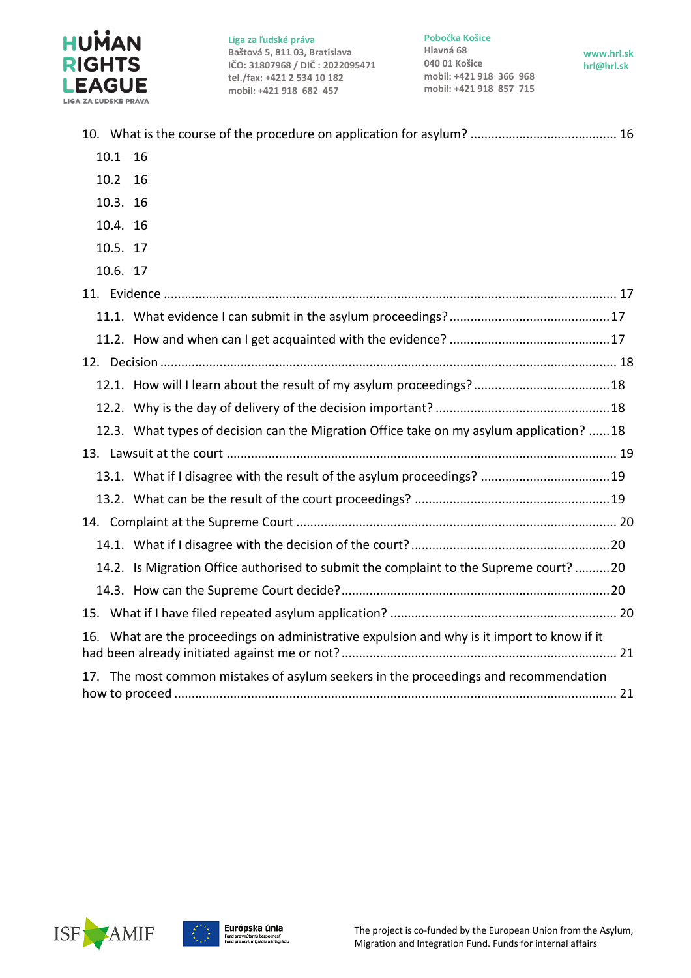

**Pobočka Košice**

**Hlavná 68 040 01 Košice mobil: +421 918 366 968 mobil: +421 918 857 715**

**www.hrl.sk hrl@hrl.sk**



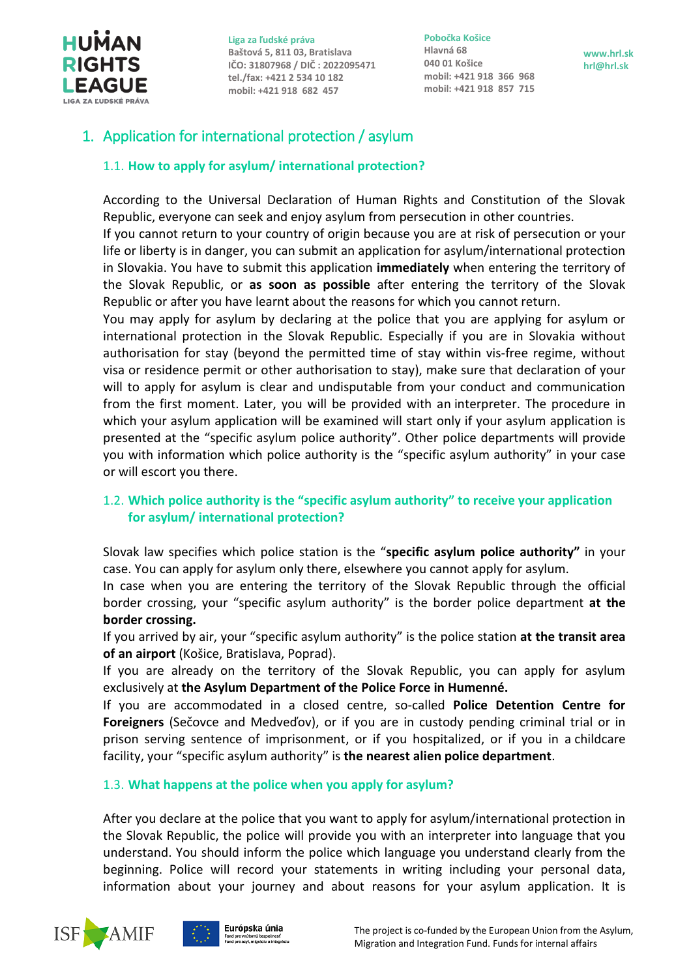

**Pobočka Košice Hlavná 68 040 01 Košice mobil: +421 918 366 968 mobil: +421 918 857 715**

**www.hrl.sk hrl@hrl.sk**

## <span id="page-3-1"></span><span id="page-3-0"></span>1. Application for international protection / asylum

## 1.1. **How to apply for asylum/ international protection?**

According to the Universal Declaration of Human Rights and Constitution of the Slovak Republic, everyone can seek and enjoy asylum from persecution in other countries.

If you cannot return to your country of origin because you are at risk of persecution or your life or liberty is in danger, you can submit an application for asylum/international protection in Slovakia. You have to submit this application **immediately** when entering the territory of the Slovak Republic, or **as soon as possible** after entering the territory of the Slovak Republic or after you have learnt about the reasons for which you cannot return.

You may apply for asylum by declaring at the police that you are applying for asylum or international protection in the Slovak Republic. Especially if you are in Slovakia without authorisation for stay (beyond the permitted time of stay within vis-free regime, without visa or residence permit or other authorisation to stay), make sure that declaration of your will to apply for asylum is clear and undisputable from your conduct and communication from the first moment. Later, you will be provided with an interpreter. The procedure in which your asylum application will be examined will start only if your asylum application is presented at the "specific asylum police authority". Other police departments will provide you with information which police authority is the "specific asylum authority" in your case or will escort you there.

## <span id="page-3-2"></span>1.2. **Which police authority is the "specific asylum authority" to receive your application for asylum/ international protection?**

Slovak law specifies which police station is the "**specific asylum police authority"** in your case. You can apply for asylum only there, elsewhere you cannot apply for asylum.

In case when you are entering the territory of the Slovak Republic through the official border crossing, your "specific asylum authority" is the border police department **at the border crossing.**

If you arrived by air, your "specific asylum authority" is the police station **at the transit area of an airport** (Košice, Bratislava, Poprad).

If you are already on the territory of the Slovak Republic, you can apply for asylum exclusively at **the Asylum Department of the Police Force in Humenné.**

If you are accommodated in a closed centre, so-called **Police Detention Centre for Foreigners** (Sečovce and Medveďov), or if you are in custody pending criminal trial or in prison serving sentence of imprisonment, or if you hospitalized, or if you in a childcare facility, your "specific asylum authority" is **the nearest alien police department**.

## <span id="page-3-3"></span>1.3. **What happens at the police when you apply for asylum?**

After you declare at the police that you want to apply for asylum/international protection in the Slovak Republic, the police will provide you with an interpreter into language that you understand. You should inform the police which language you understand clearly from the beginning. Police will record your statements in writing including your personal data, information about your journey and about reasons for your asylum application. It is



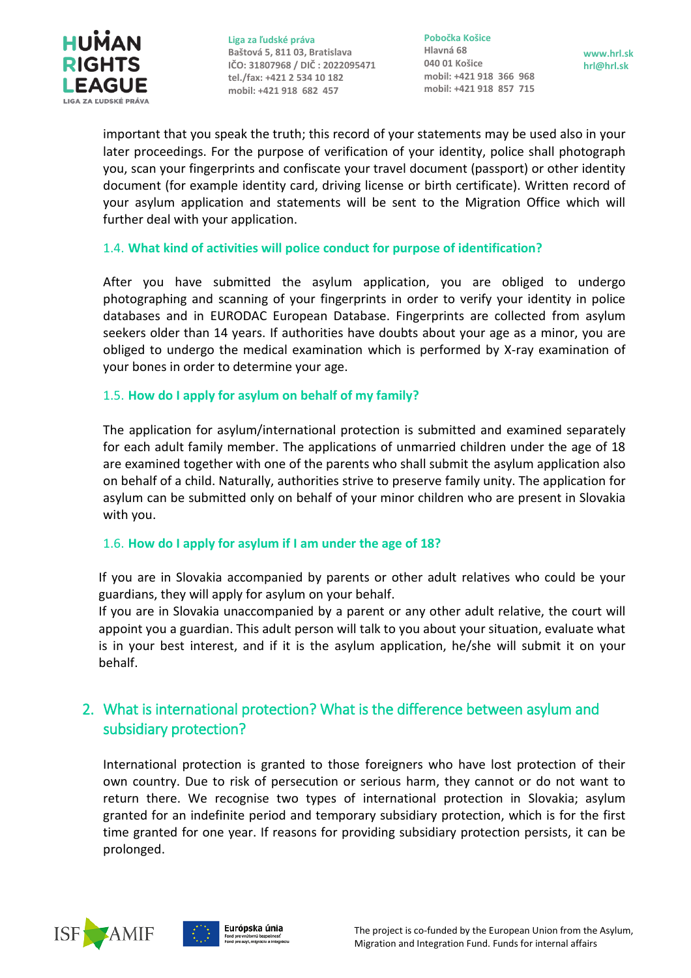

**Pobočka Košice Hlavná 68 040 01 Košice mobil: +421 918 366 968 mobil: +421 918 857 715**

**www.hrl.sk hrl@hrl.sk**

important that you speak the truth; this record of your statements may be used also in your later proceedings. For the purpose of verification of your identity, police shall photograph you, scan your fingerprints and confiscate your travel document (passport) or other identity document (for example identity card, driving license or birth certificate). Written record of your asylum application and statements will be sent to the Migration Office which will further deal with your application.

#### <span id="page-4-0"></span>1.4. **What kind of activities will police conduct for purpose of identification?**

After you have submitted the asylum application, you are obliged to undergo photographing and scanning of your fingerprints in order to verify your identity in police databases and in EURODAC European Database. Fingerprints are collected from asylum seekers older than 14 years. If authorities have doubts about your age as a minor, you are obliged to undergo the medical examination which is performed by X-ray examination of your bones in order to determine your age.

#### <span id="page-4-1"></span>1.5. **How do I apply for asylum on behalf of my family?**

The application for asylum/international protection is submitted and examined separately for each adult family member. The applications of unmarried children under the age of 18 are examined together with one of the parents who shall submit the asylum application also on behalf of a child. Naturally, authorities strive to preserve family unity. The application for asylum can be submitted only on behalf of your minor children who are present in Slovakia with you.

#### <span id="page-4-2"></span>1.6. **How do I apply for asylum if I am under the age of 18?**

If you are in Slovakia accompanied by parents or other adult relatives who could be your guardians, they will apply for asylum on your behalf.

If you are in Slovakia unaccompanied by a parent or any other adult relative, the court will appoint you a guardian. This adult person will talk to you about your situation, evaluate what is in your best interest, and if it is the asylum application, he/she will submit it on your behalf.

## <span id="page-4-3"></span>2. What is international protection? What is the difference between asylum and subsidiary protection?

International protection is granted to those foreigners who have lost protection of their own country. Due to risk of persecution or serious harm, they cannot or do not want to return there. We recognise two types of international protection in Slovakia; asylum granted for an indefinite period and temporary subsidiary protection, which is for the first time granted for one year. If reasons for providing subsidiary protection persists, it can be prolonged.



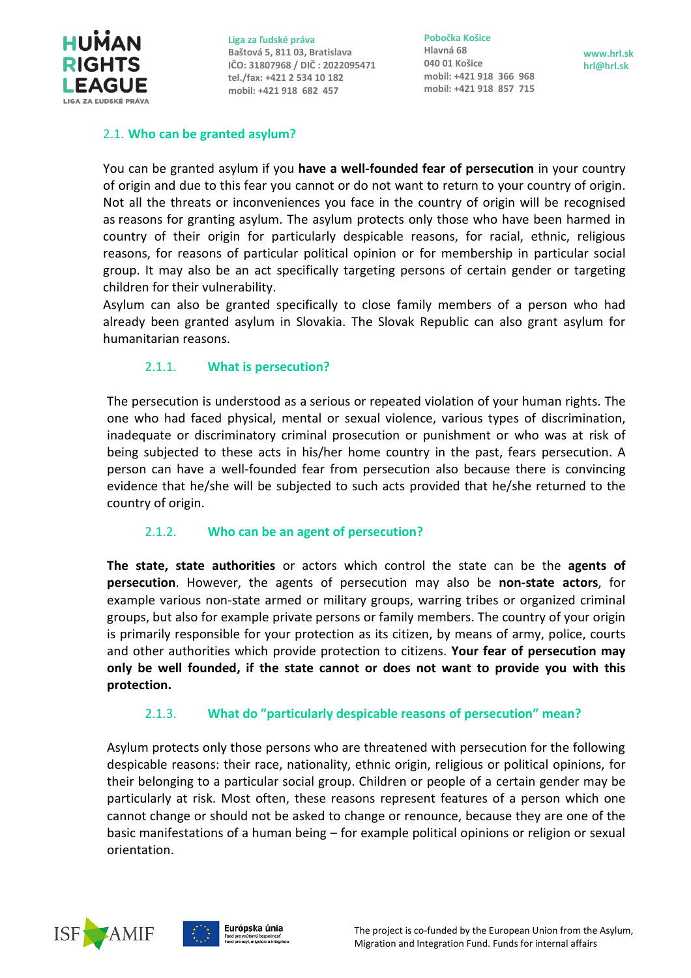

**Pobočka Košice Hlavná 68 040 01 Košice mobil: +421 918 366 968 mobil: +421 918 857 715**

## <span id="page-5-0"></span>2.1. **Who [can be granted asylum?](#page-5-0)**

You can be granted asylum if you **have a well-founded fear of persecution** in your country of origin and due to this fear you cannot or do not want to return to your country of origin. Not all the threats or inconveniences you face in the country of origin will be recognised as reasons for granting asylum. The asylum protects only those who have been harmed in country of their origin for particularly despicable reasons, for racial, ethnic, religious reasons, for reasons of particular political opinion or for membership in particular social group. It may also be an act specifically targeting persons of certain gender or targeting children for their vulnerability.

Asylum can also be granted specifically to close family members of a person who had already been granted asylum in Slovakia. The Slovak Republic can also grant asylum for humanitarian reasons.

## 2.1.1. **What is [persecution?](#page-5-1)**

<span id="page-5-1"></span>The persecution is understood as a serious or repeated violation of your human rights. The one who had faced physical, mental or sexual violence, various types of discrimination, inadequate or discriminatory criminal prosecution or punishment or who was at risk of being subjected to these acts in his/her home country in the past, fears persecution. A person can have a well-founded fear from persecution also because there is convincing evidence that he/she will be subjected to such acts provided that he/she returned to the country of origin.

## 2.1.2. **[Who can be an agent of](#page-5-2) persecution?**

<span id="page-5-2"></span>**The state, state authorities** or actors which control the state can be the **agents of persecution**. However, the agents of persecution may also be **non-state actors**, for example various non-state armed or military groups, warring tribes or organized criminal groups, but also for example private persons or family members. The country of your origin is primarily responsible for your protection as its citizen, by means of army, police, courts and other authorities which provide protection to citizens. **Your fear of persecution may only be well founded, if the state cannot or does not want to provide you with this protection.**

## 2.1.3. **What do "particularly [despicable reasons](#page-5-3) of persecution" mean?**

<span id="page-5-3"></span>Asylum protects only those persons who are threatened with persecution for the following despicable reasons: their race, nationality, ethnic origin, religious or political opinions, for their belonging to a particular social group. Children or people of a certain gender may be particularly at risk. Most often, these reasons represent features of a person which one cannot change or should not be asked to change or renounce, because they are one of the basic manifestations of a human being – for example political opinions or religion or sexual orientation.



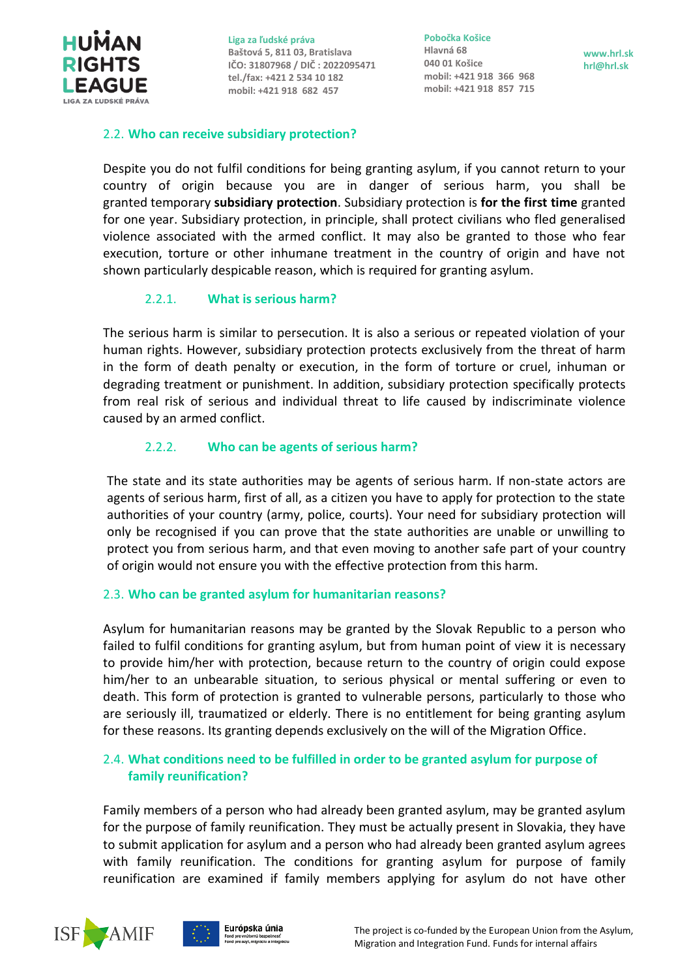<span id="page-6-5"></span>

**Pobočka Košice Hlavná 68 040 01 Košice mobil: +421 918 366 968 mobil: +421 918 857 715**

**www.hrl.sk hrl@hrl.sk**

#### <span id="page-6-0"></span>2.2. **[Who can receive subsidiary protection?](#page-6-5)**

Despite you do not fulfil conditions for being granting asylum, if you cannot return to your country of origin because you are in danger of serious harm, you shall be granted temporary **subsidiary protection**. Subsidiary protection is **for the first time** granted for one year. Subsidiary protection, in principle, shall protect civilians who fled generalised violence associated with the armed conflict. It may also be granted to those who fear execution, torture or other inhumane treatment in the country of origin and have not shown particularly despicable reason, which is required for granting asylum.

## 2.2.1. **[What is serious harm?](#page-6-5)**

<span id="page-6-1"></span>The serious harm is similar to persecution. It is also a serious or repeated violation of your human rights. However, subsidiary protection protects exclusively from the threat of harm in the form of death penalty or execution, in the form of torture or cruel, inhuman or degrading treatment or punishment. In addition, subsidiary protection specifically protects from real risk of serious and individual threat to life caused by indiscriminate violence caused by an armed conflict.

## 2.2.2. **[Who can be agents of](#page-6-2) serious harm?**

<span id="page-6-2"></span>The state and its state authorities may be agents of serious harm. If non-state actors are agents of serious harm, first of all, as a citizen you have to apply for protection to the state authorities of your country (army, police, courts). Your need for subsidiary protection will only be recognised if you can prove that the state authorities are unable or unwilling to protect you from serious harm, and that even moving to another safe part of your country of origin would not ensure you with the effective protection from this harm.

## <span id="page-6-3"></span>2.3. **Who can be granted asylum for [humanitarian reasons?](#page-6-3)**

Asylum for humanitarian reasons may be granted by the Slovak Republic to a person who failed to fulfil conditions for granting asylum, but from human point of view it is necessary to provide him/her with protection, because return to the country of origin could expose him/her to an unbearable situation, to serious physical or mental suffering or even to death. This form of protection is granted to vulnerable persons, particularly to those who are seriously ill, traumatized or elderly. There is no entitlement for being granting asylum for these reasons. Its granting depends exclusively on the will of the Migration Office.

## <span id="page-6-4"></span>2.4. **What conditions need to be fulfilled in order to be granted asylum for purpose of family reunification?**

Family members of a person who had already been granted asylum, may be granted asylum for the purpose of family reunification. They must be actually present in Slovakia, they have to submit application for asylum and a person who had already been granted asylum agrees with family reunification. The conditions for granting asylum for purpose of family reunification are examined if family members applying for asylum do not have other

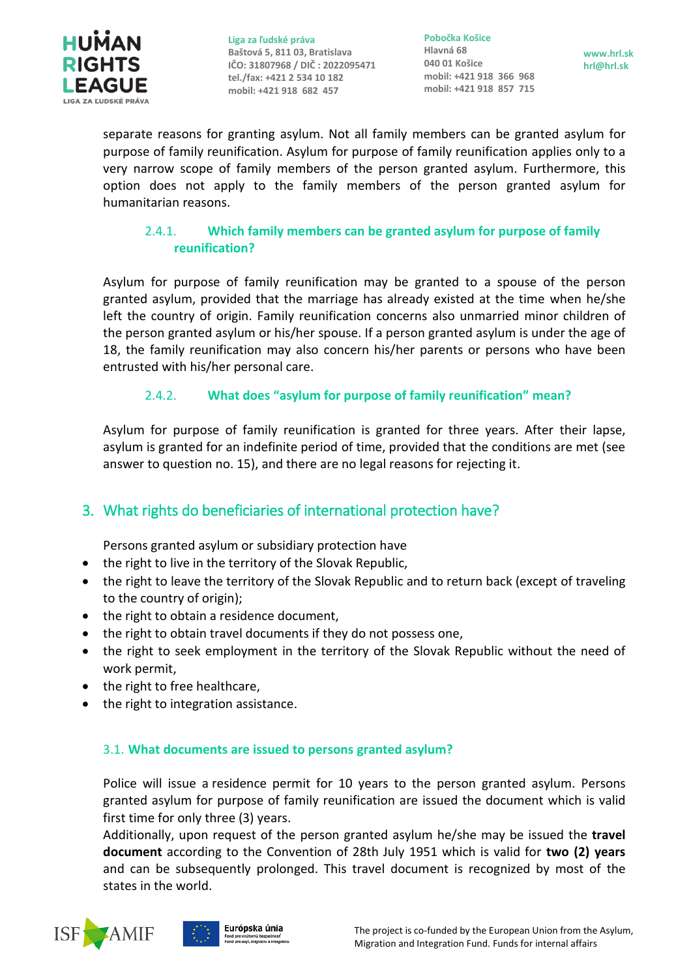

**Pobočka Košice Hlavná 68 040 01 Košice mobil: +421 918 366 968 mobil: +421 918 857 715**

**www.hrl.sk hrl@hrl.sk**

separate reasons for granting asylum. Not all family members can be granted asylum for purpose of family reunification. Asylum for purpose of family reunification applies only to a very narrow scope of family members of the person granted asylum. Furthermore, this option does not apply to the family members of the person granted asylum for humanitarian reasons.

## <span id="page-7-0"></span>2.4.1. **[Which family members can be granted asylum for purpose of family](#page-7-0)  [reunification?](#page-7-0)**

Asylum for purpose of family reunification may be granted to a spouse of the person granted asylum, provided that the marriage has already existed at the time when he/she left the country of origin. Family reunification concerns also unmarried minor children of the person granted asylum or his/her spouse. If a person granted asylum is under the age of 18, the family reunification may also concern his/her parents or persons who have been entrusted with his/her personal care.

## 2.4.2. **What does "asylum for purpose of family reunification" mean?**

<span id="page-7-1"></span>Asylum for purpose of family reunification is granted for three years. After their lapse, asylum is granted for an indefinite period of time, provided that the conditions are met (see answer to question no. 15), and there are no legal reasons for rejecting it.

## <span id="page-7-2"></span>3. What rights do beneficiaries of international protection have?

Persons granted asylum or subsidiary protection have

- the right to live in the territory of the Slovak Republic,
- the right to leave the territory of the Slovak Republic and to return back (except of traveling to the country of origin);
- the right to obtain a residence document,
- the right to obtain travel documents if they do not possess one,
- the right to seek employment in the territory of the Slovak Republic without the need of work permit,
- the right to free healthcare,
- the right to integration assistance.

## <span id="page-7-3"></span>3.1. **What documents are issued to persons granted asylum?**

Police will issue a residence permit for 10 years to the person granted asylum. Persons granted asylum for purpose of family reunification are issued the document which is valid first time for only three (3) years.

Additionally, upon request of the person granted asylum he/she may be issued the **travel document** according to the Convention of 28th July 1951 which is valid for **two (2) years** and can be subsequently prolonged. This travel document is recognized by most of the states in the world.



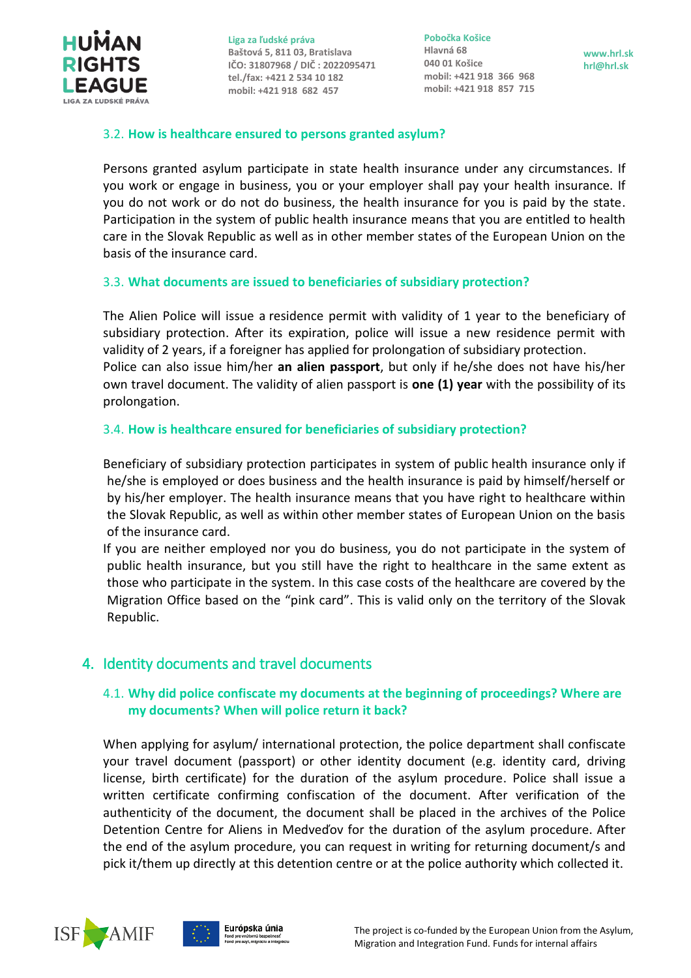

**Pobočka Košice Hlavná 68 040 01 Košice mobil: +421 918 366 968 mobil: +421 918 857 715**

**www.hrl.sk hrl@hrl.sk**

#### <span id="page-8-0"></span>3.2. **How is healthcare ensured to persons granted asylum?**

Persons granted asylum participate in state health insurance under any circumstances. If you work or engage in business, you or your employer shall pay your health insurance. If you do not work or do not do business, the health insurance for you is paid by the state. Participation in the system of public health insurance means that you are entitled to health care in the Slovak Republic as well as in other member states of the European Union on the basis of the insurance card.

#### <span id="page-8-1"></span>3.3. **What documents are issued to beneficiaries of subsidiary protection?**

The Alien Police will issue a residence permit with validity of 1 year to the beneficiary of subsidiary protection. After its expiration, police will issue a new residence permit with validity of 2 years, if a foreigner has applied for prolongation of subsidiary protection. Police can also issue him/her **an alien passport**, but only if he/she does not have his/her own travel document. The validity of alien passport is **one (1) year** with the possibility of its prolongation.

#### <span id="page-8-2"></span>3.4. **How is healthcare ensured for beneficiaries of subsidiary protection?**

Beneficiary of subsidiary protection participates in system of public health insurance only if he/she is employed or does business and the health insurance is paid by himself/herself or by his/her employer. The health insurance means that you have right to healthcare within the Slovak Republic, as well as within other member states of European Union on the basis of the insurance card.

If you are neither employed nor you do business, you do not participate in the system of public health insurance, but you still have the right to healthcare in the same extent as those who participate in the system. In this case costs of the healthcare are covered by the Migration Office based on the "pink card". This is valid only on the territory of the Slovak Republic.

## <span id="page-8-4"></span><span id="page-8-3"></span>4. Identity documents and travel documents

## 4.1. **Why did police confiscate my documents at the beginning of proceedings? Where are my documents? When will police return it back?**

When applying for asylum/ international protection, the police department shall confiscate your travel document (passport) or other identity document (e.g. identity card, driving license, birth certificate) for the duration of the asylum procedure. Police shall issue a written certificate confirming confiscation of the document. After verification of the authenticity of the document, the document shall be placed in the archives of the Police Detention Centre for Aliens in Medveďov for the duration of the asylum procedure. After the end of the asylum procedure, you can request in writing for returning document/s and pick it/them up directly at this detention centre or at the police authority which collected it.



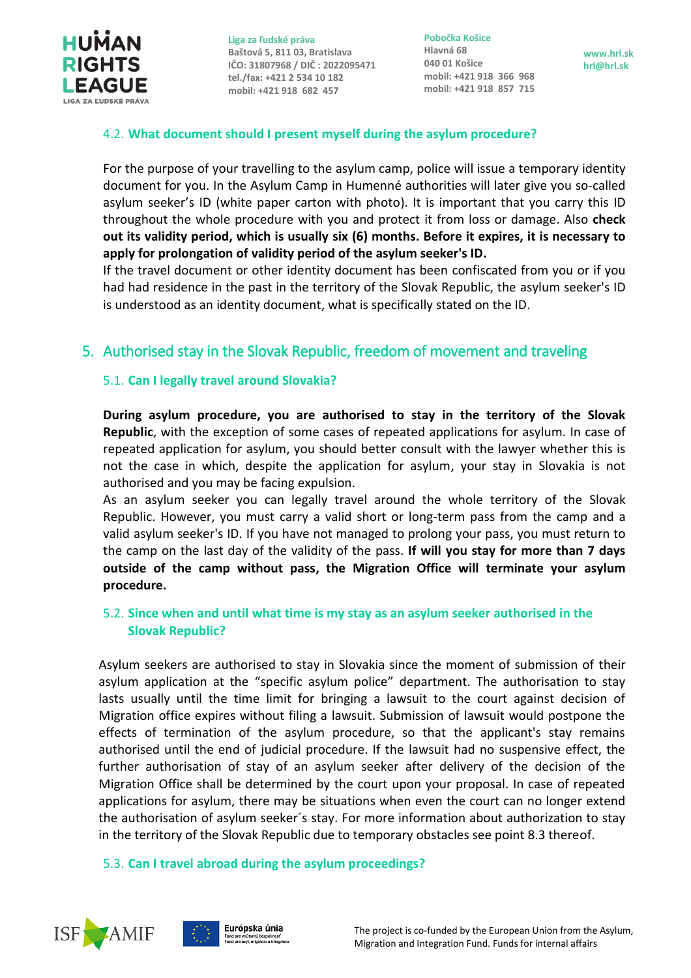

**Pobočka Košice Hlavná 68 040 01 Košice mobil: +421 918 366 968 mobil: +421 918 857 715**

**www.hrl.sk hrl@hrl.sk**

## <span id="page-9-0"></span>4.2. **What document should I present myself during the asylum procedure?**

For the purpose of your travelling to the asylum camp, police will issue a temporary identity document for you. In the Asylum Camp in Humenné authorities will later give you so-called asylum seeker's ID (white paper carton with photo). It is important that you carry this ID throughout the whole procedure with you and protect it from loss or damage. Also **check out its validity period, which is usually six (6) months. Before it expires, it is necessary to apply for prolongation of validity period of the asylum seeker's ID.**

If the travel document or other identity document has been confiscated from you or if you had had residence in the past in the territory of the Slovak Republic, the asylum seeker's ID is understood as an identity document, what is specifically stated on the ID.

## <span id="page-9-2"></span><span id="page-9-1"></span>5. Authorised stay in the Slovak Republic, freedom of movement and traveling

## 5.1. **Can I legally travel around Slovakia?**

**During asylum procedure, you are authorised to stay in the territory of the Slovak Republic**, with the exception of some cases of repeated applications for asylum. In case of repeated application for asylum, you should better consult with the lawyer whether this is not the case in which, despite the application for asylum, your stay in Slovakia is not authorised and you may be facing expulsion.

As an asylum seeker you can legally travel around the whole territory of the Slovak Republic. However, you must carry a valid short or long-term pass from the camp and a valid asylum seeker's ID. If you have not managed to prolong your pass, you must return to the camp on the last day of the validity of the pass. **If will you stay for more than 7 days outside of the camp without pass, the Migration Office will terminate your asylum procedure.**

## <span id="page-9-3"></span>5.2. **Since when and until what time is my stay as an asylum seeker authorised in the Slovak Republic?**

Asylum seekers are authorised to stay in Slovakia since the moment of submission of their asylum application at the "specific asylum police" department. The authorisation to stay lasts usually until the time limit for bringing a lawsuit to the court against decision of Migration office expires without filing a lawsuit. Submission of lawsuit would postpone the effects of termination of the asylum procedure, so that the applicant's stay remains authorised until the end of judicial procedure. If the lawsuit had no suspensive effect, the further authorisation of stay of an asylum seeker after delivery of the decision of the Migration Office shall be determined by the court upon your proposal. In case of repeated applications for asylum, there may be situations when even the court can no longer extend the authorisation of asylum seeker´s stay. For more information about authorization to stay in the territory of the Slovak Republic due to temporary obstacles see point 8.3 thereof.

#### <span id="page-9-4"></span>5.3. **Can I travel abroad during the asylum proceedings?**



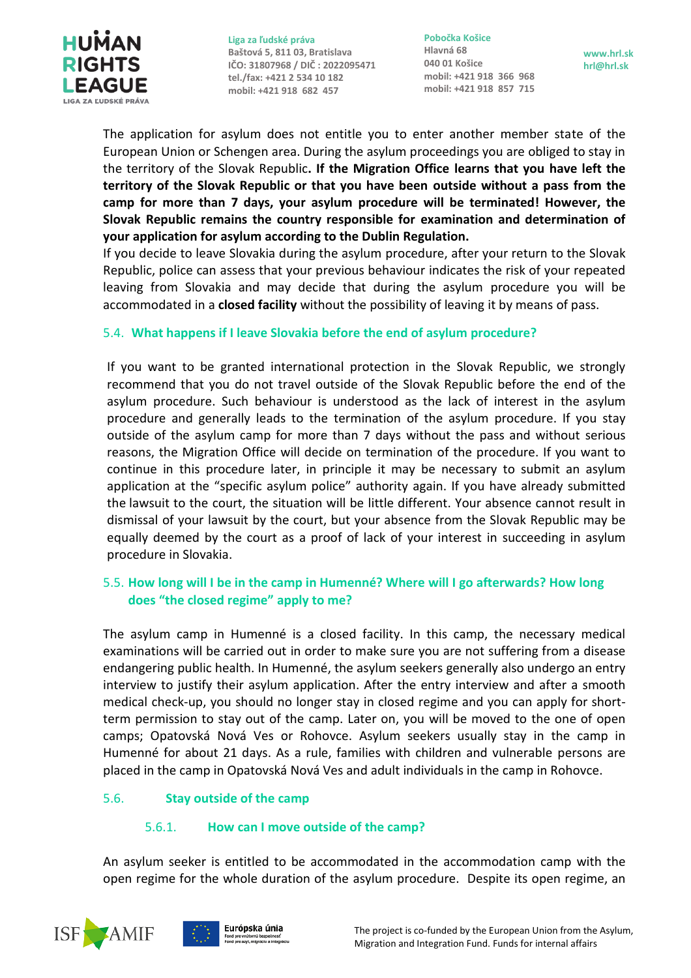

**Pobočka Košice Hlavná 68 040 01 Košice mobil: +421 918 366 968 mobil: +421 918 857 715**

**www.hrl.sk hrl@hrl.sk**

The application for asylum does not entitle you to enter another member state of the European Union or Schengen area. During the asylum proceedings you are obliged to stay in the territory of the Slovak Republic**. If the Migration Office learns that you have left the territory of the Slovak Republic or that you have been outside without a pass from the camp for more than 7 days, your asylum procedure will be terminated! However, the Slovak Republic remains the country responsible for examination and determination of your application for asylum according to the Dublin Regulation.**

If you decide to leave Slovakia during the asylum procedure, after your return to the Slovak Republic, police can assess that your previous behaviour indicates the risk of your repeated leaving from Slovakia and may decide that during the asylum procedure you will be accommodated in a **closed facility** without the possibility of leaving it by means of pass.

## <span id="page-10-0"></span>5.4. **What happens if I leave Slovakia before the end of asylum procedure?**

If you want to be granted international protection in the Slovak Republic, we strongly recommend that you do not travel outside of the Slovak Republic before the end of the asylum procedure. Such behaviour is understood as the lack of interest in the asylum procedure and generally leads to the termination of the asylum procedure. If you stay outside of the asylum camp for more than 7 days without the pass and without serious reasons, the Migration Office will decide on termination of the procedure. If you want to continue in this procedure later, in principle it may be necessary to submit an asylum application at the "specific asylum police" authority again. If you have already submitted the lawsuit to the court, the situation will be little different. Your absence cannot result in dismissal of your lawsuit by the court, but your absence from the Slovak Republic may be equally deemed by the court as a proof of lack of your interest in succeeding in asylum procedure in Slovakia.

## <span id="page-10-1"></span>5.5. **How long will I be in the camp in Humenné? Where will I go afterwards? How long does "the closed regime" apply to me?**

The asylum camp in Humenné is a closed facility. In this camp, the necessary medical examinations will be carried out in order to make sure you are not suffering from a disease endangering public health. In Humenné, the asylum seekers generally also undergo an entry interview to justify their asylum application. After the entry interview and after a smooth medical check-up, you should no longer stay in closed regime and you can apply for shortterm permission to stay out of the camp. Later on, you will be moved to the one of open camps; Opatovská Nová Ves or Rohovce. Asylum seekers usually stay in the camp in Humenné for about 21 days. As a rule, families with children and vulnerable persons are placed in the camp in Opatovská Nová Ves and adult individuals in the camp in Rohovce.

## <span id="page-10-3"></span><span id="page-10-2"></span>5.6. **Stay outside of the camp**

## 5.6.1. **How can I move outside of the camp?**

An asylum seeker is entitled to be accommodated in the accommodation camp with the open regime for the whole duration of the asylum procedure. Despite its open regime, an



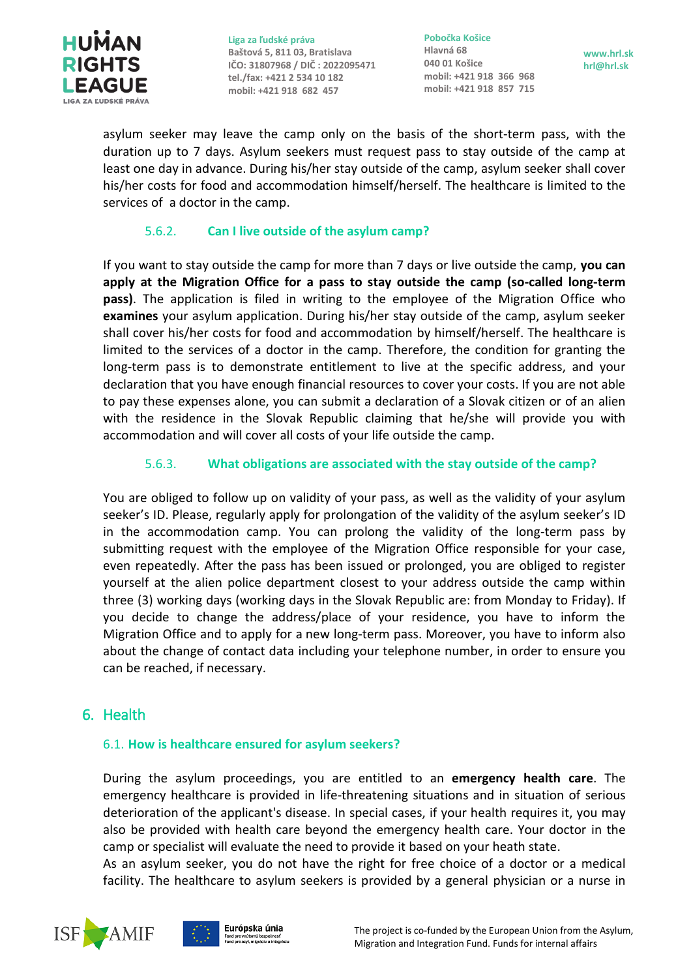

**Pobočka Košice Hlavná 68 040 01 Košice mobil: +421 918 366 968 mobil: +421 918 857 715**

**www.hrl.sk hrl@hrl.sk**

asylum seeker may leave the camp only on the basis of the short-term pass, with the duration up to 7 days. Asylum seekers must request pass to stay outside of the camp at least one day in advance. During his/her stay outside of the camp, asylum seeker shall cover his/her costs for food and accommodation himself/herself. The healthcare is limited to the services of a doctor in the camp.

## 5.6.2. **Can I [live outside of the asylum camp?](#page-11-0)**

<span id="page-11-0"></span>If you want to stay outside the camp for more than 7 days or live outside the camp, **you can apply at the Migration Office for a pass to stay outside the camp (so-called long-term pass)**. The application is filed in writing to the employee of the Migration Office who **examines** your asylum application. During his/her stay outside of the camp, asylum seeker shall cover his/her costs for food and accommodation by himself/herself. The healthcare is limited to the services of a doctor in the camp. Therefore, the condition for granting the long-term pass is to demonstrate entitlement to live at the specific address, and your declaration that you have enough financial resources to cover your costs. If you are not able to pay these expenses alone, you can submit a declaration of a Slovak citizen or of an alien with the residence in the Slovak Republic claiming that he/she will provide you with accommodation and will cover all costs of your life outside the camp.

## 5.6.3. **[What obligations are associated with the stay outside of the camp?](#page-11-1)**

<span id="page-11-1"></span>You are obliged to follow up on validity of your pass, as well as the validity of your asylum seeker's ID. Please, regularly apply for prolongation of the validity of the asylum seeker's ID in the accommodation camp. You can prolong the validity of the long-term pass by submitting request with the employee of the Migration Office responsible for your case, even repeatedly. After the pass has been issued or prolonged, you are obliged to register yourself at the alien police department closest to your address outside the camp within three (3) working days (working days in the Slovak Republic are: from Monday to Friday). If you decide to change the address/place of your residence, you have to inform the Migration Office and to apply for a new long-term pass. Moreover, you have to inform also about the change of contact data including your telephone number, in order to ensure you can be reached, if necessary.

## <span id="page-11-3"></span><span id="page-11-2"></span>6. Health

## 6.1. **How is healthcare ensured for asylum seekers?**

During the asylum proceedings, you are entitled to an **emergency health care**. The emergency healthcare is provided in life-threatening situations and in situation of serious deterioration of the applicant's disease. In special cases, if your health requires it, you may also be provided with health care beyond the emergency health care. Your doctor in the camp or specialist will evaluate the need to provide it based on your heath state.

As an asylum seeker, you do not have the right for free choice of a doctor or a medical facility. The healthcare to asylum seekers is provided by a general physician or a nurse in



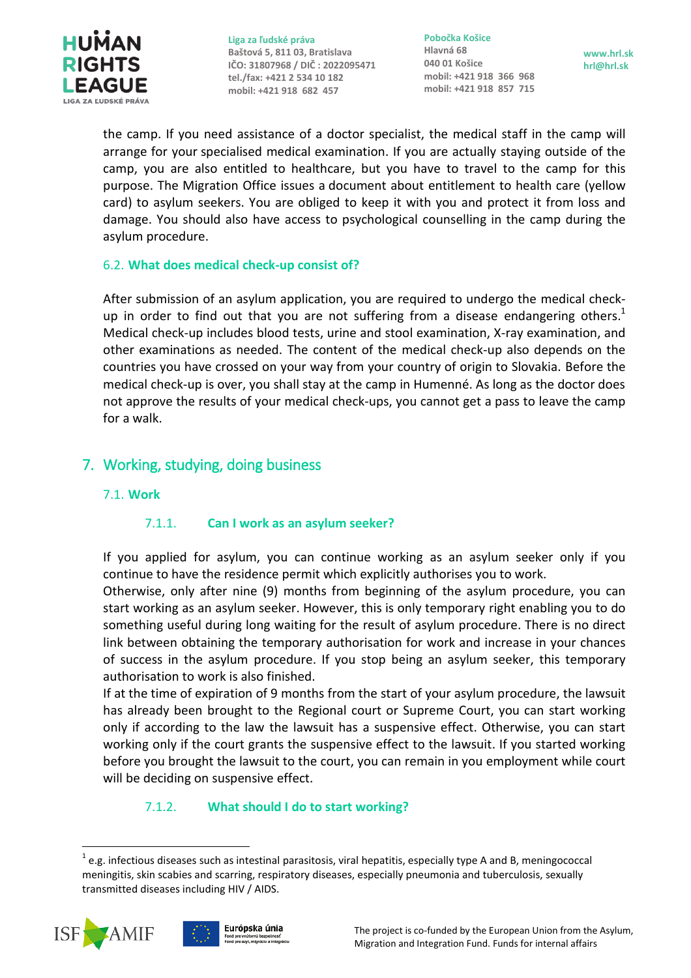

**Pobočka Košice Hlavná 68 040 01 Košice mobil: +421 918 366 968 mobil: +421 918 857 715**

**www.hrl.sk hrl@hrl.sk**

the camp. If you need assistance of a doctor specialist, the medical staff in the camp will arrange for your specialised medical examination. If you are actually staying outside of the camp, you are also entitled to healthcare, but you have to travel to the camp for this purpose. The Migration Office issues a document about entitlement to health care (yellow card) to asylum seekers. You are obliged to keep it with you and protect it from loss and damage. You should also have access to psychological counselling in the camp during the asylum procedure.

#### <span id="page-12-0"></span>6.2. **What does medical check-up consist of?**

After submission of an asylum application, you are required to undergo the medical checkup in order to find out that you are not suffering from a disease endangering others.<sup>1</sup> Medical check-up includes blood tests, urine and stool examination, X-ray examination, and other examinations as needed. The content of the medical check-up also depends on the countries you have crossed on your way from your country of origin to Slovakia. Before the medical check-up is over, you shall stay at the camp in Humenné. As long as the doctor does not approve the results of your medical check-ups, you cannot get a pass to leave the camp for a walk.

## <span id="page-12-2"></span><span id="page-12-1"></span>7. Working, studying, doing business

#### <span id="page-12-3"></span>7.1. **[Work](#page-12-2)**

## 7.1.1. **Can I work as an asylum seeker?**

If you applied for asylum, you can continue working as an asylum seeker only if you continue to have the residence permit which explicitly authorises you to work.

Otherwise, only after nine (9) months from beginning of the asylum procedure, you can start working as an asylum seeker. However, this is only temporary right enabling you to do something useful during long waiting for the result of asylum procedure. There is no direct link between obtaining the temporary authorisation for work and increase in your chances of success in the asylum procedure. If you stop being an asylum seeker, this temporary authorisation to work is also finished.

If at the time of expiration of 9 months from the start of your asylum procedure, the lawsuit has already been brought to the Regional court or Supreme Court, you can start working only if according to the law the lawsuit has a suspensive effect. Otherwise, you can start working only if the court grants the suspensive effect to the lawsuit. If you started working before you brought the lawsuit to the court, you can remain in you employment while court will be deciding on suspensive effect.

## 7.1.2. **What should I do to start working?**

<span id="page-12-4"></span> $\overline{a}$  $^{1}$  e.g. infectious diseases such as intestinal parasitosis, viral hepatitis, especially type A and B, meningococcal meningitis, skin scabies and scarring, respiratory diseases, especially pneumonia and tuberculosis, sexually transmitted diseases including HIV / AIDS.



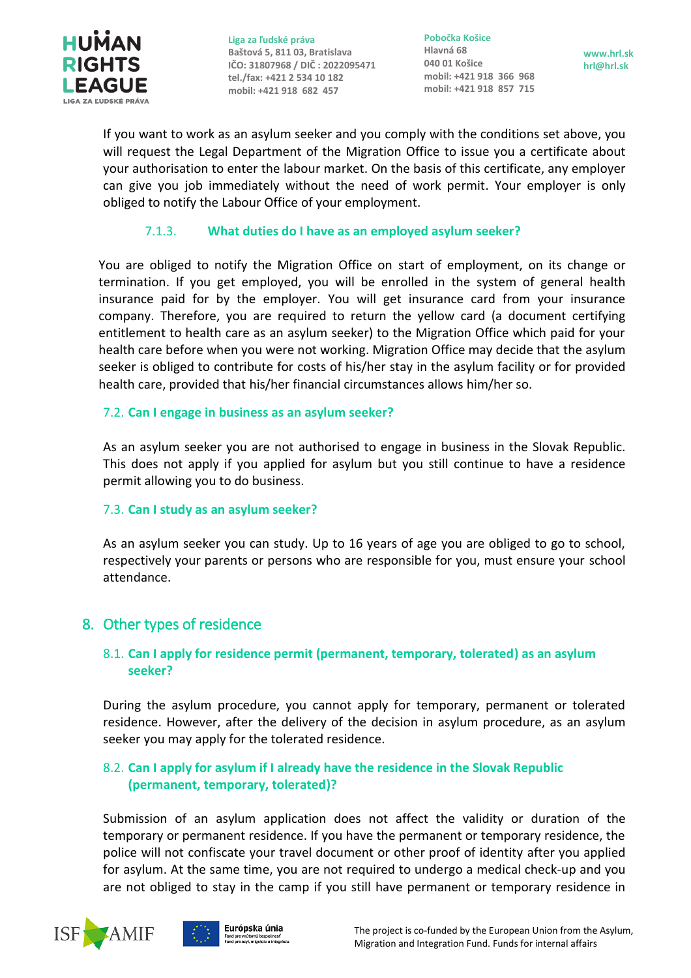

**Pobočka Košice Hlavná 68 040 01 Košice mobil: +421 918 366 968 mobil: +421 918 857 715**

**www.hrl.sk hrl@hrl.sk**

If you want to work as an asylum seeker and you comply with the conditions set above, you will request the Legal Department of the Migration Office to issue you a certificate about your authorisation to enter the labour market. On the basis of this certificate, any employer can give you job immediately without the need of work permit. Your employer is only obliged to notify the Labour Office of your employment.

## 7.1.3. **What duties do I have as an employed asylum seeker?**

<span id="page-13-0"></span>You are obliged to notify the Migration Office on start of employment, on its change or termination. If you get employed, you will be enrolled in the system of general health insurance paid for by the employer. You will get insurance card from your insurance company. Therefore, you are required to return the yellow card (a document certifying entitlement to health care as an asylum seeker) to the Migration Office which paid for your health care before when you were not working. Migration Office may decide that the asylum seeker is obliged to contribute for costs of his/her stay in the asylum facility or for provided health care, provided that his/her financial circumstances allows him/her so.

#### <span id="page-13-1"></span>7.2. **Can I engage in business as an asylum seeker?**

As an asylum seeker you are not authorised to engage in business in the Slovak Republic. This does not apply if you applied for asylum but you still continue to have a residence permit allowing you to do business.

## <span id="page-13-2"></span>7.3. **Can I study as an asylum seeker?**

As an asylum seeker you can study. Up to 16 years of age you are obliged to go to school, respectively your parents or persons who are responsible for you, must ensure your school attendance.

## <span id="page-13-4"></span><span id="page-13-3"></span>8. [Other types of residence](#page-13-3)

## 8.1. **Can I apply for residence permit (permanent, temporary, tolerated) as an asylum seeker?**

During the asylum procedure, you cannot apply for temporary, permanent or tolerated residence. However, after the delivery of the decision in asylum procedure, as an asylum seeker you may apply for the tolerated residence.

## <span id="page-13-5"></span>8.2. **Can I apply for asylum if I already have the residence in the Slovak Republic (permanent, temporary, tolerated)?**

Submission of an asylum application does not affect the validity or duration of the temporary or permanent residence. If you have the permanent or temporary residence, the police will not confiscate your travel document or other proof of identity after you applied for asylum. At the same time, you are not required to undergo a medical check-up and you are not obliged to stay in the camp if you still have permanent or temporary residence in

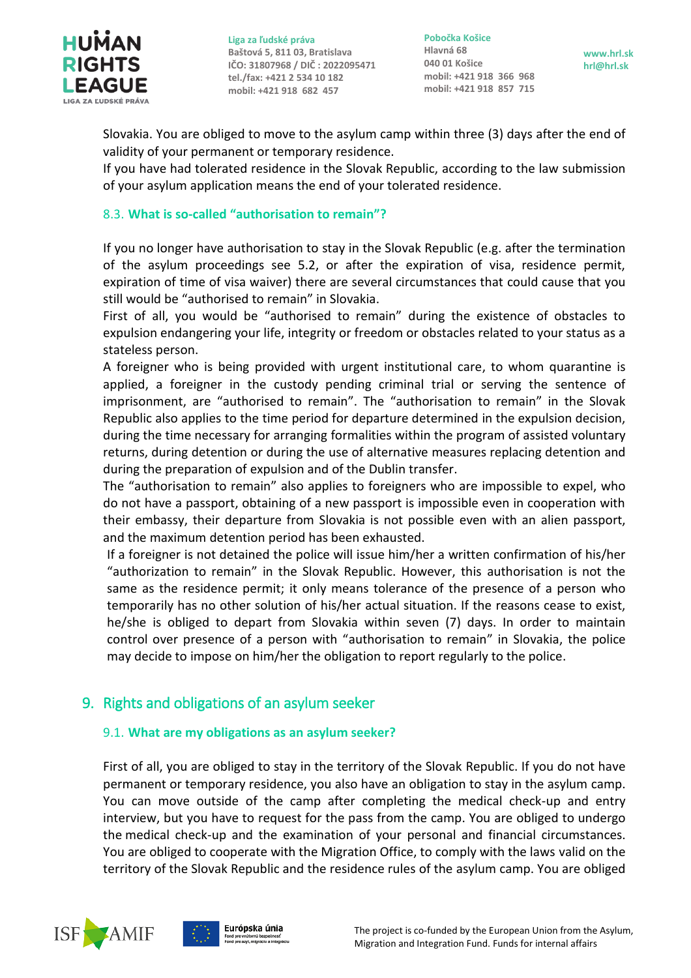

**Pobočka Košice Hlavná 68 040 01 Košice mobil: +421 918 366 968 mobil: +421 918 857 715**

**www.hrl.sk hrl@hrl.sk**

Slovakia. You are obliged to move to the asylum camp within three (3) days after the end of validity of your permanent or temporary residence.

If you have had tolerated residence in the Slovak Republic, according to the law submission of your asylum application means the end of your tolerated residence.

## <span id="page-14-0"></span>8.3. **What is so-called "authorisation to remain"?**

If you no longer have authorisation to stay in the Slovak Republic (e.g. after the termination of the asylum proceedings see 5.2, or after the expiration of visa, residence permit, expiration of time of visa waiver) there are several circumstances that could cause that you still would be "authorised to remain" in Slovakia.

First of all, you would be "authorised to remain" during the existence of obstacles to expulsion endangering your life, integrity or freedom or obstacles related to your status as a stateless person.

A foreigner who is being provided with urgent institutional care, to whom quarantine is applied, a foreigner in the custody pending criminal trial or serving the sentence of imprisonment, are "authorised to remain". The "authorisation to remain" in the Slovak Republic also applies to the time period for departure determined in the expulsion decision, during the time necessary for arranging formalities within the program of assisted voluntary returns, during detention or during the use of alternative measures replacing detention and during the preparation of expulsion and of the Dublin transfer.

The "authorisation to remain" also applies to foreigners who are impossible to expel, who do not have a passport, obtaining of a new passport is impossible even in cooperation with their embassy, their departure from Slovakia is not possible even with an alien passport, and the maximum detention period has been exhausted.

If a foreigner is not detained the police will issue him/her a written confirmation of his/her "authorization to remain" in the Slovak Republic. However, this authorisation is not the same as the residence permit; it only means tolerance of the presence of a person who temporarily has no other solution of his/her actual situation. If the reasons cease to exist, he/she is obliged to depart from Slovakia within seven (7) days. In order to maintain control over presence of a person with "authorisation to remain" in Slovakia, the police may decide to impose on him/her the obligation to report regularly to the police.

## <span id="page-14-2"></span><span id="page-14-1"></span>9. Rights and obligations of an asylum seeker

## 9.1. **What are my obligations as an asylum seeker?**

First of all, you are obliged to stay in the territory of the Slovak Republic. If you do not have permanent or temporary residence, you also have an obligation to stay in the asylum camp. You can move outside of the camp after completing the medical check-up and entry interview, but you have to request for the pass from the camp. You are obliged to undergo the medical check-up and the examination of your personal and financial circumstances. You are obliged to cooperate with the Migration Office, to comply with the laws valid on the territory of the Slovak Republic and the residence rules of the asylum camp. You are obliged

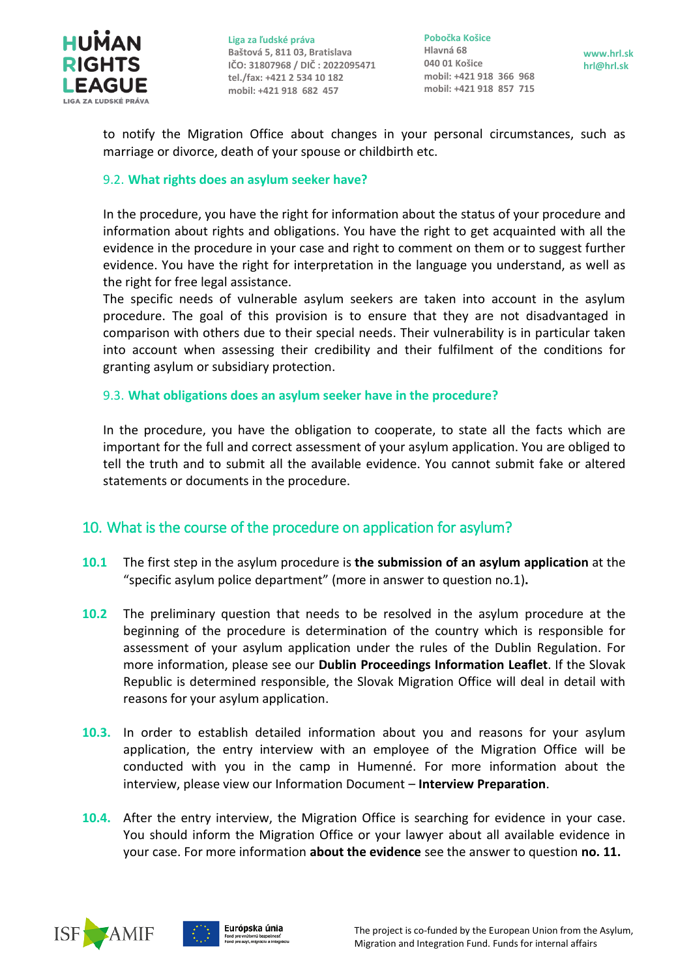

**Pobočka Košice Hlavná 68 040 01 Košice mobil: +421 918 366 968 mobil: +421 918 857 715**

**www.hrl.sk hrl@hrl.sk**

to notify the Migration Office about changes in your personal circumstances, such as marriage or divorce, death of your spouse or childbirth etc.

#### <span id="page-15-0"></span>9.2. **What rights does an asylum seeker have?**

In the procedure, you have the right for information about the status of your procedure and information about rights and obligations. You have the right to get acquainted with all the evidence in the procedure in your case and right to comment on them or to suggest further evidence. You have the right for interpretation in the language you understand, as well as the right for free legal assistance.

The specific needs of vulnerable asylum seekers are taken into account in the asylum procedure. The goal of this provision is to ensure that they are not disadvantaged in comparison with others due to their special needs. Their vulnerability is in particular taken into account when assessing their credibility and their fulfilment of the conditions for granting asylum or subsidiary protection.

#### <span id="page-15-1"></span>9.3. **What obligations does an asylum seeker have in the procedure?**

In the procedure, you have the obligation to cooperate, to state all the facts which are important for the full and correct assessment of your asylum application. You are obliged to tell the truth and to submit all the available evidence. You cannot submit fake or altered statements or documents in the procedure.

## <span id="page-15-2"></span>10. What is the course of the procedure on application for asylum?

- <span id="page-15-3"></span>**10.1** The first step in the asylum procedure is **the submission of an asylum application** at the "specific asylum police department" (more in answer to question no.1)**.**
- <span id="page-15-4"></span>**10.2** The preliminary question that needs to be resolved in the asylum procedure at the beginning of the procedure is determination of the country which is responsible for assessment of your asylum application under the rules of the Dublin Regulation. For more information, please see our **Dublin Proceedings Information Leaflet**. If the Slovak Republic is determined responsible, the Slovak Migration Office will deal in detail with reasons for your asylum application.
- <span id="page-15-5"></span>**10.3.** In order to establish detailed information about you and reasons for your asylum application, the entry interview with an employee of the Migration Office will be conducted with you in the camp in Humenné. For more information about the interview, please view our Information Document – **Interview Preparation**.
- <span id="page-15-6"></span>**10.4.** After the entry interview, the Migration Office is searching for evidence in your case. You should inform the Migration Office or your lawyer about all available evidence in your case. For more information **about the evidence** see the answer to question **no. 11.**

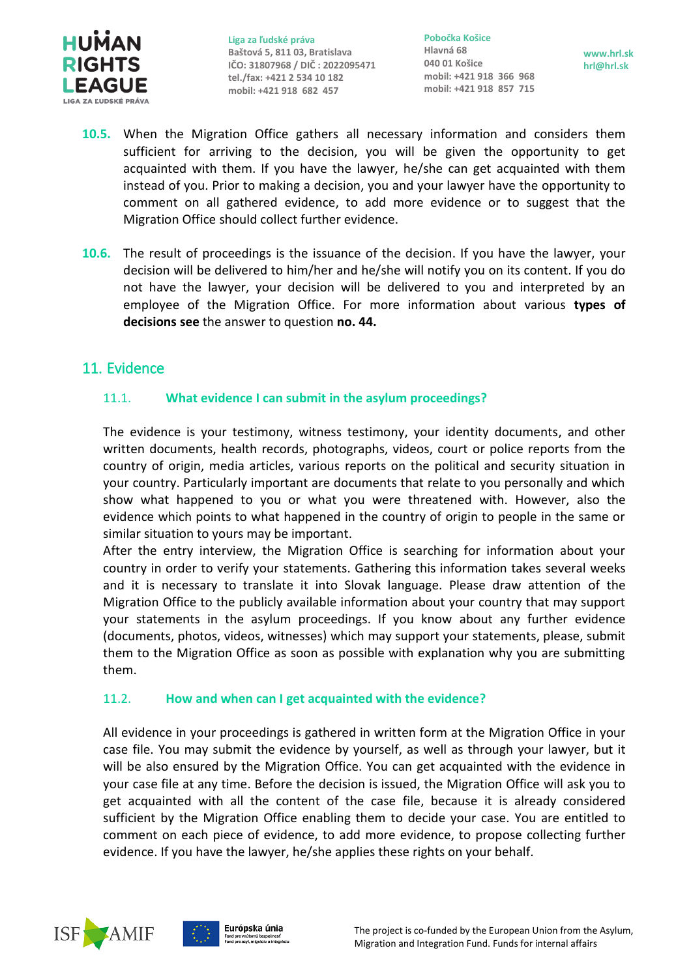

**Pobočka Košice Hlavná 68 040 01 Košice mobil: +421 918 366 968 mobil: +421 918 857 715**

**www.hrl.sk hrl@hrl.sk**

- <span id="page-16-0"></span>**10.5.** When the Migration Office gathers all necessary information and considers them sufficient for arriving to the decision, you will be given the opportunity to get acquainted with them. If you have the lawyer, he/she can get acquainted with them instead of you. Prior to making a decision, you and your lawyer have the opportunity to comment on all gathered evidence, to add more evidence or to suggest that the Migration Office should collect further evidence.
- <span id="page-16-1"></span>**10.6.** The result of proceedings is the issuance of the decision. If you have the lawyer, your decision will be delivered to him/her and he/she will notify you on its content. If you do not have the lawyer, your decision will be delivered to you and interpreted by an employee of the Migration Office. For more information about various **types of decisions see** the answer to question **no. 44.**

## <span id="page-16-3"></span><span id="page-16-2"></span>11. Evidence

## 11.1. **What evidence I can submit in the asylum proceedings?**

The evidence is your testimony, witness testimony, your identity documents, and other written documents, health records, photographs, videos, court or police reports from the country of origin, media articles, various reports on the political and security situation in your country. Particularly important are documents that relate to you personally and which show what happened to you or what you were threatened with. However, also the evidence which points to what happened in the country of origin to people in the same or similar situation to yours may be important.

After the entry interview, the Migration Office is searching for information about your country in order to verify your statements. Gathering this information takes several weeks and it is necessary to translate it into Slovak language. Please draw attention of the Migration Office to the publicly available information about your country that may support your statements in the asylum proceedings. If you know about any further evidence (documents, photos, videos, witnesses) which may support your statements, please, submit them to the Migration Office as soon as possible with explanation why you are submitting them.

## <span id="page-16-4"></span>11.2. **How and when can I get acquainted with the evidence?**

All evidence in your proceedings is gathered in written form at the Migration Office in your case file. You may submit the evidence by yourself, as well as through your lawyer, but it will be also ensured by the Migration Office. You can get acquainted with the evidence in your case file at any time. Before the decision is issued, the Migration Office will ask you to get acquainted with all the content of the case file, because it is already considered sufficient by the Migration Office enabling them to decide your case. You are entitled to comment on each piece of evidence, to add more evidence, to propose collecting further evidence. If you have the lawyer, he/she applies these rights on your behalf.



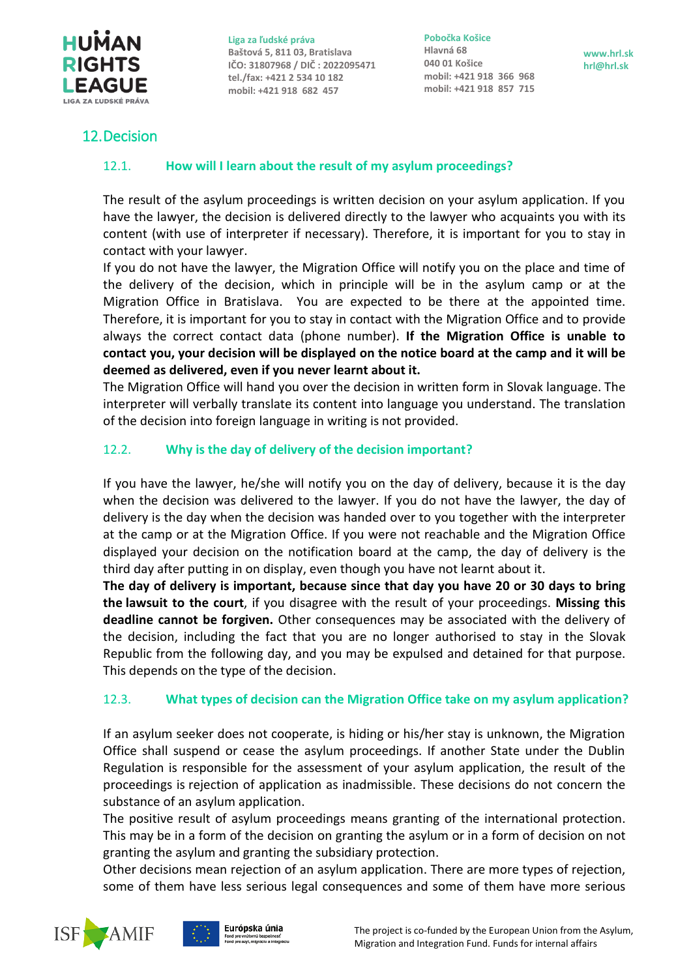

**Pobočka Košice Hlavná 68 040 01 Košice mobil: +421 918 366 968 mobil: +421 918 857 715**

**www.hrl.sk hrl@hrl.sk**

## <span id="page-17-1"></span><span id="page-17-0"></span>12.Decision

## 12.1. **How will I learn about the result of my asylum proceedings?**

The result of the asylum proceedings is written decision on your asylum application. If you have the lawyer, the decision is delivered directly to the lawyer who acquaints you with its content (with use of interpreter if necessary). Therefore, it is important for you to stay in contact with your lawyer.

If you do not have the lawyer, the Migration Office will notify you on the place and time of the delivery of the decision, which in principle will be in the asylum camp or at the Migration Office in Bratislava. You are expected to be there at the appointed time. Therefore, it is important for you to stay in contact with the Migration Office and to provide always the correct contact data (phone number). **If the Migration Office is unable to contact you, your decision will be displayed on the notice board at the camp and it will be deemed as delivered, even if you never learnt about it.**

The Migration Office will hand you over the decision in written form in Slovak language. The interpreter will verbally translate its content into language you understand. The translation of the decision into foreign language in writing is not provided.

## <span id="page-17-2"></span>12.2. **Why is the day of delivery of the decision important?**

If you have the lawyer, he/she will notify you on the day of delivery, because it is the day when the decision was delivered to the lawyer. If you do not have the lawyer, the day of delivery is the day when the decision was handed over to you together with the interpreter at the camp or at the Migration Office. If you were not reachable and the Migration Office displayed your decision on the notification board at the camp, the day of delivery is the third day after putting in on display, even though you have not learnt about it.

**The day of delivery is important, because since that day you have 20 or 30 days to bring the lawsuit to the court**, if you disagree with the result of your proceedings. **Missing this deadline cannot be forgiven.** Other consequences may be associated with the delivery of the decision, including the fact that you are no longer authorised to stay in the Slovak Republic from the following day, and you may be expulsed and detained for that purpose. This depends on the type of the decision.

## <span id="page-17-3"></span>12.3. **What types of decision can the Migration Office take on my asylum application?**

If an asylum seeker does not cooperate, is hiding or his/her stay is unknown, the Migration Office shall suspend or cease the asylum proceedings. If another State under the Dublin Regulation is responsible for the assessment of your asylum application, the result of the proceedings is rejection of application as inadmissible. These decisions do not concern the substance of an asylum application.

The positive result of asylum proceedings means granting of the international protection. This may be in a form of the decision on granting the asylum or in a form of decision on not granting the asylum and granting the subsidiary protection.

Other decisions mean rejection of an asylum application. There are more types of rejection, some of them have less serious legal consequences and some of them have more serious



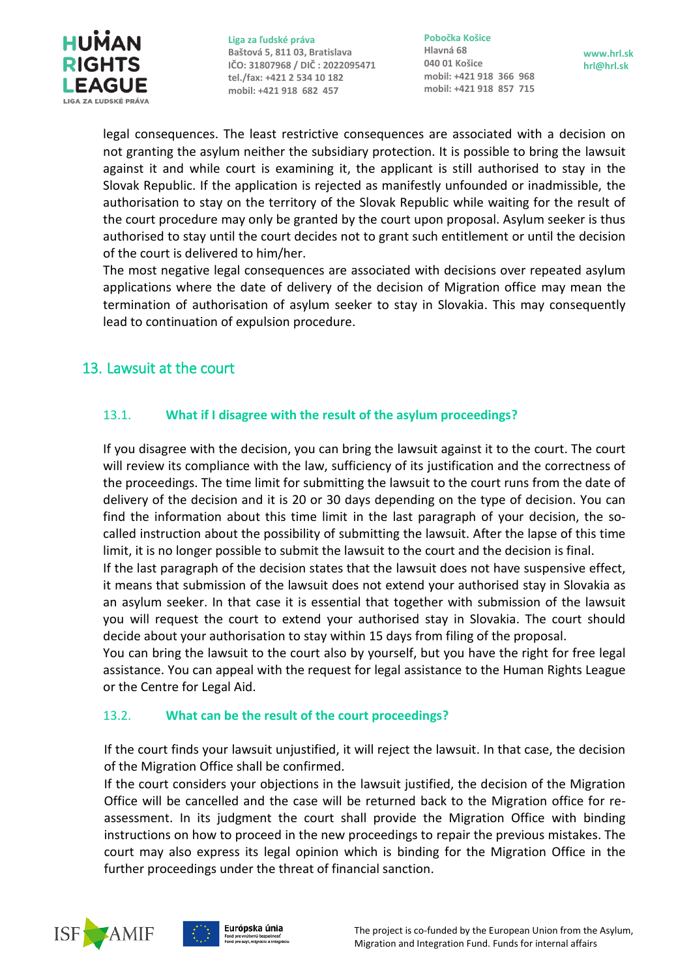

**Pobočka Košice Hlavná 68 040 01 Košice mobil: +421 918 366 968 mobil: +421 918 857 715**

**www.hrl.sk hrl@hrl.sk**

legal consequences. The least restrictive consequences are associated with a decision on not granting the asylum neither the subsidiary protection. It is possible to bring the lawsuit against it and while court is examining it, the applicant is still authorised to stay in the Slovak Republic. If the application is rejected as manifestly unfounded or inadmissible, the authorisation to stay on the territory of the Slovak Republic while waiting for the result of the court procedure may only be granted by the court upon proposal. Asylum seeker is thus authorised to stay until the court decides not to grant such entitlement or until the decision of the court is delivered to him/her.

The most negative legal consequences are associated with decisions over repeated asylum applications where the date of delivery of the decision of Migration office may mean the termination of authorisation of asylum seeker to stay in Slovakia. This may consequently lead to continuation of expulsion procedure.

## <span id="page-18-0"></span>13. Lawsuit at the court

## <span id="page-18-1"></span>13.1. **What if I disagree with the result of the asylum proceedings?**

If you disagree with the decision, you can bring the lawsuit against it to the court. The court will review its compliance with the law, sufficiency of its justification and the correctness of the proceedings. The time limit for submitting the lawsuit to the court runs from the date of delivery of the decision and it is 20 or 30 days depending on the type of decision. You can find the information about this time limit in the last paragraph of your decision, the socalled instruction about the possibility of submitting the lawsuit. After the lapse of this time limit, it is no longer possible to submit the lawsuit to the court and the decision is final.

If the last paragraph of the decision states that the lawsuit does not have suspensive effect, it means that submission of the lawsuit does not extend your authorised stay in Slovakia as an asylum seeker. In that case it is essential that together with submission of the lawsuit you will request the court to extend your authorised stay in Slovakia. The court should decide about your authorisation to stay within 15 days from filing of the proposal.

You can bring the lawsuit to the court also by yourself, but you have the right for free legal assistance. You can appeal with the request for legal assistance to the Human Rights League or the Centre for Legal Aid.

## <span id="page-18-2"></span>13.2. **What can be the result of the court proceedings?**

If the court finds your lawsuit unjustified, it will reject the lawsuit. In that case, the decision of the Migration Office shall be confirmed.

If the court considers your objections in the lawsuit justified, the decision of the Migration Office will be cancelled and the case will be returned back to the Migration office for reassessment. In its judgment the court shall provide the Migration Office with binding instructions on how to proceed in the new proceedings to repair the previous mistakes. The court may also express its legal opinion which is binding for the Migration Office in the further proceedings under the threat of financial sanction.



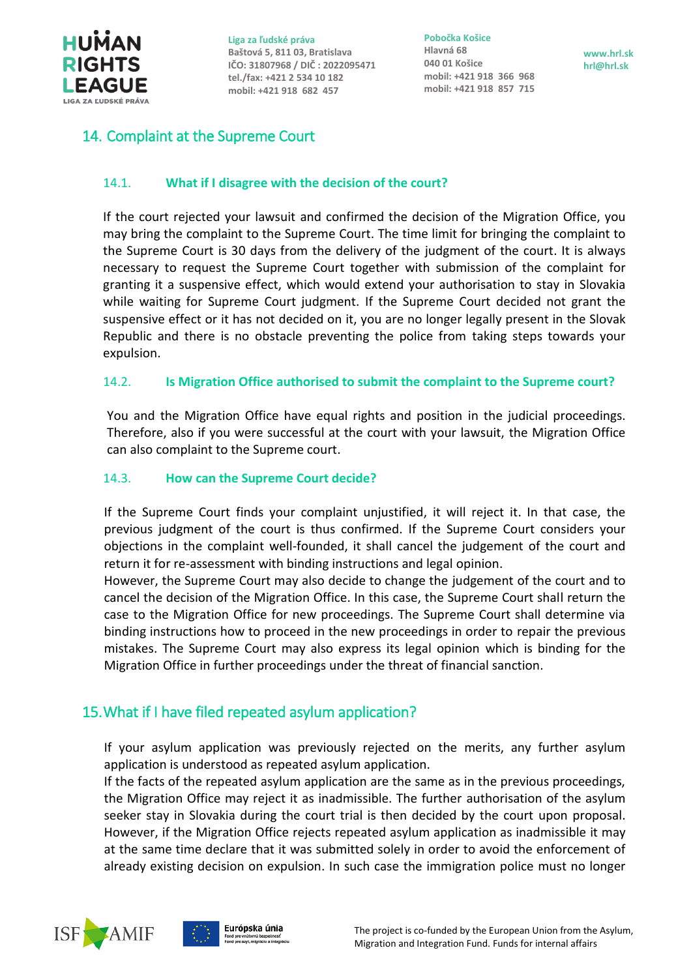

**Pobočka Košice Hlavná 68 040 01 Košice mobil: +421 918 366 968 mobil: +421 918 857 715**

**www.hrl.sk hrl@hrl.sk**

## <span id="page-19-0"></span>14. Complaint at the Supreme Court

## <span id="page-19-1"></span>14.1. **What if I disagree with the decision of the court?**

If the court rejected your lawsuit and confirmed the decision of the Migration Office, you may bring the complaint to the Supreme Court. The time limit for bringing the complaint to the Supreme Court is 30 days from the delivery of the judgment of the court. It is always necessary to request the Supreme Court together with submission of the complaint for granting it a suspensive effect, which would extend your authorisation to stay in Slovakia while waiting for Supreme Court judgment. If the Supreme Court decided not grant the suspensive effect or it has not decided on it, you are no longer legally present in the Slovak Republic and there is no obstacle preventing the police from taking steps towards your expulsion.

## <span id="page-19-2"></span>14.2. **Is Migration Office authorised to submit the complaint to the Supreme court?**

You and the Migration Office have equal rights and position in the judicial proceedings. Therefore, also if you were successful at the court with your lawsuit, the Migration Office can also complaint to the Supreme court.

## <span id="page-19-3"></span>14.3. **How can the Supreme Court decide?**

If the Supreme Court finds your complaint unjustified, it will reject it. In that case, the previous judgment of the court is thus confirmed. If the Supreme Court considers your objections in the complaint well-founded, it shall cancel the judgement of the court and return it for re-assessment with binding instructions and legal opinion.

However, the Supreme Court may also decide to change the judgement of the court and to cancel the decision of the Migration Office. In this case, the Supreme Court shall return the case to the Migration Office for new proceedings. The Supreme Court shall determine via binding instructions how to proceed in the new proceedings in order to repair the previous mistakes. The Supreme Court may also express its legal opinion which is binding for the Migration Office in further proceedings under the threat of financial sanction.

## <span id="page-19-4"></span>15.What if I have filed repeated asylum application?

If your asylum application was previously rejected on the merits, any further asylum application is understood as repeated asylum application.

If the facts of the repeated asylum application are the same as in the previous proceedings, the Migration Office may reject it as inadmissible. The further authorisation of the asylum seeker stay in Slovakia during the court trial is then decided by the court upon proposal. However, if the Migration Office rejects repeated asylum application as inadmissible it may at the same time declare that it was submitted solely in order to avoid the enforcement of already existing decision on expulsion. In such case the immigration police must no longer



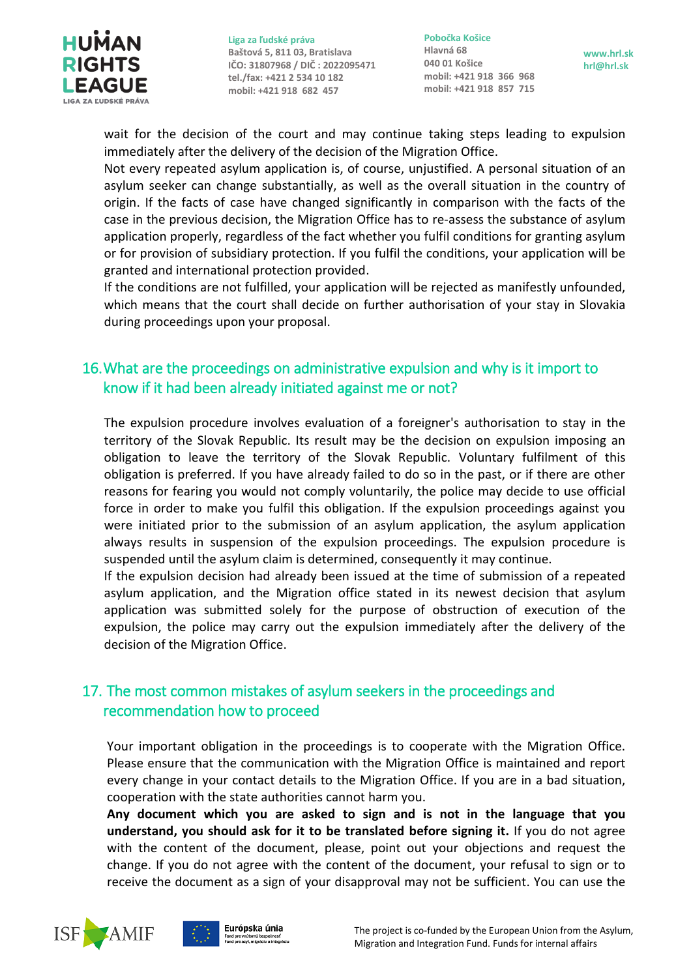

**Pobočka Košice Hlavná 68 040 01 Košice mobil: +421 918 366 968 mobil: +421 918 857 715**

wait for the decision of the court and may continue taking steps leading to expulsion immediately after the delivery of the decision of the Migration Office.

Not every repeated asylum application is, of course, unjustified. A personal situation of an asylum seeker can change substantially, as well as the overall situation in the country of origin. If the facts of case have changed significantly in comparison with the facts of the case in the previous decision, the Migration Office has to re-assess the substance of asylum application properly, regardless of the fact whether you fulfil conditions for granting asylum or for provision of subsidiary protection. If you fulfil the conditions, your application will be granted and international protection provided.

If the conditions are not fulfilled, your application will be rejected as manifestly unfounded, which means that the court shall decide on further authorisation of your stay in Slovakia during proceedings upon your proposal.

## <span id="page-20-0"></span>16.What are the proceedings on administrative expulsion and why is it import to know if it had been already initiated against me or not?

The expulsion procedure involves evaluation of a foreigner's authorisation to stay in the territory of the Slovak Republic. Its result may be the decision on expulsion imposing an obligation to leave the territory of the Slovak Republic. Voluntary fulfilment of this obligation is preferred. If you have already failed to do so in the past, or if there are other reasons for fearing you would not comply voluntarily, the police may decide to use official force in order to make you fulfil this obligation. If the expulsion proceedings against you were initiated prior to the submission of an asylum application, the asylum application always results in suspension of the expulsion proceedings. The expulsion procedure is suspended until the asylum claim is determined, consequently it may continue.

If the expulsion decision had already been issued at the time of submission of a repeated asylum application, and the Migration office stated in its newest decision that asylum application was submitted solely for the purpose of obstruction of execution of the expulsion, the police may carry out the expulsion immediately after the delivery of the decision of the Migration Office.

## <span id="page-20-1"></span>17. The most common mistakes of asylum seekers in the proceedings and recommendation how to proceed

Your important obligation in the proceedings is to cooperate with the Migration Office. Please ensure that the communication with the Migration Office is maintained and report every change in your contact details to the Migration Office. If you are in a bad situation, cooperation with the state authorities cannot harm you.

**Any document which you are asked to sign and is not in the language that you understand, you should ask for it to be translated before signing it.** If you do not agree with the content of the document, please, point out your objections and request the change. If you do not agree with the content of the document, your refusal to sign or to receive the document as a sign of your disapproval may not be sufficient. You can use the